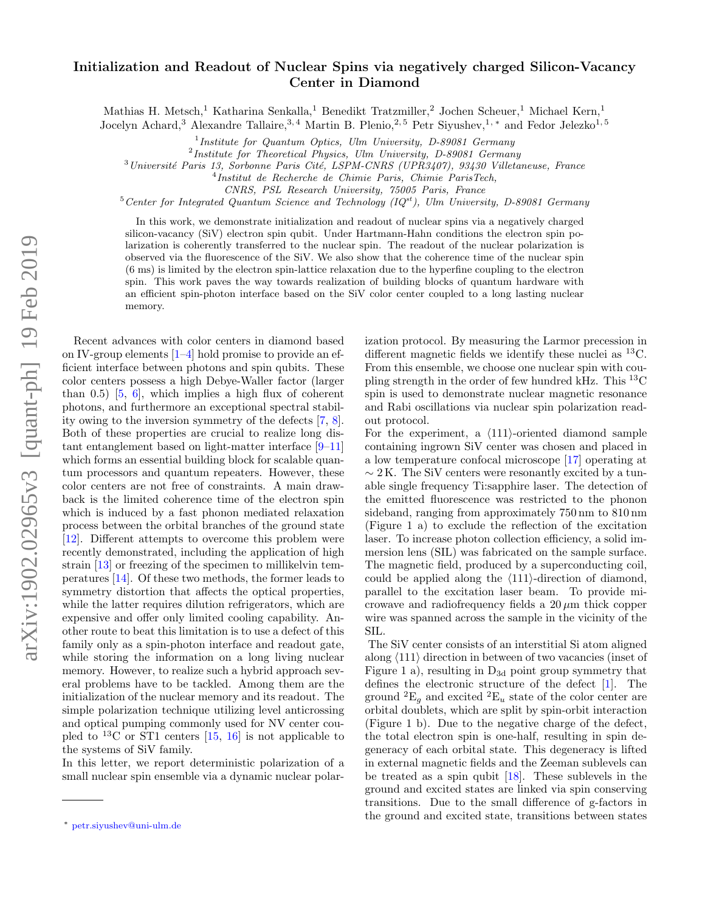## Initialization and Readout of Nuclear Spins via negatively charged Silicon-Vacancy Center in Diamond

Mathias H. Metsch,<sup>1</sup> Katharina Senkalla,<sup>1</sup> Benedikt Tratzmiller,<sup>2</sup> Jochen Scheuer,<sup>1</sup> Michael Kern,<sup>1</sup>

Jocelyn Achard,<sup>3</sup> Alexandre Tallaire,<sup>3,4</sup> Martin B. Plenio,<sup>2,5</sup> Petr Siyushev,<sup>1,\*</sup> and Fedor Jelezko<sup>1,5</sup>

<sup>1</sup>Institute for Quantum Optics, Ulm University, D-89081 Germany

 $2$ Institute for Theoretical Physics, Ulm University, D-89081 Germany

 $3$ Université Paris 13, Sorbonne Paris Cité, LSPM-CNRS (UPR3407), 93430 Villetaneuse, France

4 Institut de Recherche de Chimie Paris, Chimie ParisTech,

CNRS, PSL Research University, 75005 Paris, France

 $5$ Center for Integrated Quantum Science and Technology (IQ $^{st}$ ), Ulm University, D-89081 Germany

In this work, we demonstrate initialization and readout of nuclear spins via a negatively charged silicon-vacancy (SiV) electron spin qubit. Under Hartmann-Hahn conditions the electron spin polarization is coherently transferred to the nuclear spin. The readout of the nuclear polarization is observed via the fluorescence of the SiV. We also show that the coherence time of the nuclear spin (6 ms) is limited by the electron spin-lattice relaxation due to the hyperfine coupling to the electron spin. This work paves the way towards realization of building blocks of quantum hardware with an efficient spin-photon interface based on the SiV color center coupled to a long lasting nuclear memory.

Recent advances with color centers in diamond based on IV-group elements [\[1](#page-4-0)[–4\]](#page-4-1) hold promise to provide an efficient interface between photons and spin qubits. These color centers possess a high Debye-Waller factor (larger than  $(0.5)$   $[5, 6]$  $[5, 6]$  $[5, 6]$ , which implies a high flux of coherent photons, and furthermore an exceptional spectral stability owing to the inversion symmetry of the defects [\[7,](#page-4-4) [8\]](#page-4-5). Both of these properties are crucial to realize long distant entanglement based on light-matter interface [\[9](#page-4-6)[–11\]](#page-4-7) which forms an essential building block for scalable quantum processors and quantum repeaters. However, these color centers are not free of constraints. A main drawback is the limited coherence time of the electron spin which is induced by a fast phonon mediated relaxation process between the orbital branches of the ground state [\[12\]](#page-4-8). Different attempts to overcome this problem were recently demonstrated, including the application of high strain [\[13\]](#page-4-9) or freezing of the specimen to millikelvin temperatures [\[14\]](#page-4-10). Of these two methods, the former leads to symmetry distortion that affects the optical properties, while the latter requires dilution refrigerators, which are expensive and offer only limited cooling capability. Another route to beat this limitation is to use a defect of this family only as a spin-photon interface and readout gate, while storing the information on a long living nuclear memory. However, to realize such a hybrid approach several problems have to be tackled. Among them are the initialization of the nuclear memory and its readout. The simple polarization technique utilizing level anticrossing and optical pumping commonly used for NV center coupled to <sup>13</sup>C or ST1 centers [\[15,](#page-4-11) [16\]](#page-4-12) is not applicable to the systems of SiV family.

In this letter, we report deterministic polarization of a small nuclear spin ensemble via a dynamic nuclear polarization protocol. By measuring the Larmor precession in different magnetic fields we identify these nuclei as <sup>13</sup>C. From this ensemble, we choose one nuclear spin with coupling strength in the order of few hundred kHz. This <sup>13</sup>C spin is used to demonstrate nuclear magnetic resonance and Rabi oscillations via nuclear spin polarization readout protocol.

For the experiment, a  $\langle 111 \rangle$ -oriented diamond sample containing ingrown SiV center was chosen and placed in a low temperature confocal microscope [\[17\]](#page-4-13) operating at  $\sim$  2 K. The SiV centers were resonantly excited by a tunable single frequency Ti:sapphire laser. The detection of the emitted fluorescence was restricted to the phonon sideband, ranging from approximately 750 nm to 810 nm [\(Figure 1](#page-1-0) a) to exclude the reflection of the excitation laser. To increase photon collection efficiency, a solid immersion lens (SIL) was fabricated on the sample surface. The magnetic field, produced by a superconducting coil, could be applied along the  $\langle 111 \rangle$ -direction of diamond, parallel to the excitation laser beam. To provide microwave and radiofrequency fields a  $20 \mu m$  thick copper wire was spanned across the sample in the vicinity of the SIL.

The SiV center consists of an interstitial Si atom aligned along  $\langle 111 \rangle$  direction in between of two vacancies (inset of [Figure 1](#page-1-0) a), resulting in  $D_{3d}$  point group symmetry that defines the electronic structure of the defect [\[1\]](#page-4-0). The ground  ${}^{2}E_{q}$  and excited  ${}^{2}E_{u}$  state of the color center are orbital doublets, which are split by spin-orbit interaction [\(Figure 1](#page-1-0) b). Due to the negative charge of the defect, the total electron spin is one-half, resulting in spin degeneracy of each orbital state. This degeneracy is lifted in external magnetic fields and the Zeeman sublevels can be treated as a spin qubit [\[18\]](#page-4-14). These sublevels in the ground and excited states are linked via spin conserving transitions. Due to the small difference of g-factors in the ground and excited state, transitions between states

<span id="page-0-0"></span><sup>∗</sup> [petr.siyushev@uni-ulm.de](mailto:petr.siyushev@uni-ulm.de)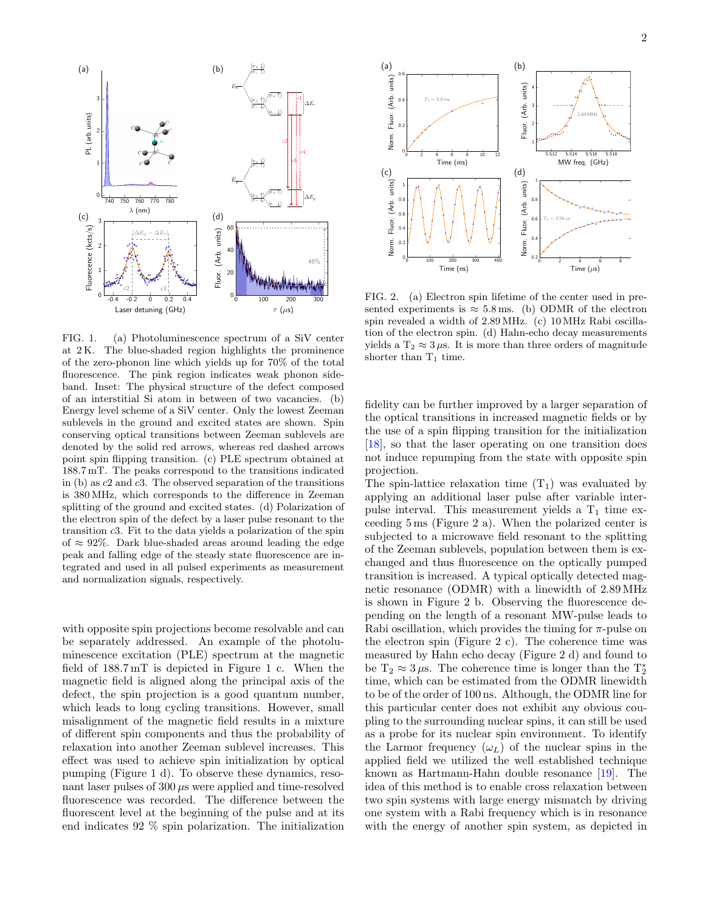

<span id="page-1-0"></span>FIG. 1. (a) Photoluminescence spectrum of a SiV center at 2 K. The blue-shaded region highlights the prominence of the zero-phonon line which yields up for 70% of the total fluorescence. The pink region indicates weak phonon sideband. Inset: The physical structure of the defect composed of an interstitial Si atom in between of two vacancies. (b) Energy level scheme of a SiV center. Only the lowest Zeeman sublevels in the ground and excited states are shown. Spin conserving optical transitions between Zeeman sublevels are denoted by the solid red arrows, whereas red dashed arrows point spin flipping transition. (c) PLE spectrum obtained at 188.7 mT. The peaks correspond to the transitions indicated in (b) as c2 and c3. The observed separation of the transitions is 380 MHz, which corresponds to the difference in Zeeman splitting of the ground and excited states. (d) Polarization of the electron spin of the defect by a laser pulse resonant to the transition c3. Fit to the data yields a polarization of the spin of  $\approx 92\%$ . Dark blue-shaded areas around leading the edge peak and falling edge of the steady state fluorescence are integrated and used in all pulsed experiments as measurement and normalization signals, respectively.

with opposite spin projections become resolvable and can be separately addressed. An example of the photoluminescence excitation (PLE) spectrum at the magnetic field of 188.7 mT is depicted in [Figure 1](#page-1-0) c. When the magnetic field is aligned along the principal axis of the defect, the spin projection is a good quantum number, which leads to long cycling transitions. However, small misalignment of the magnetic field results in a mixture of different spin components and thus the probability of relaxation into another Zeeman sublevel increases. This effect was used to achieve spin initialization by optical pumping [\(Figure 1](#page-1-0) d). To observe these dynamics, resonant laser pulses of  $300 \mu s$  were applied and time-resolved fluorescence was recorded. The difference between the fluorescent level at the beginning of the pulse and at its end indicates 92 % spin polarization. The initialization



<span id="page-1-1"></span>FIG. 2. (a) Electron spin lifetime of the center used in presented experiments is  $\approx 5.8$  ms. (b) ODMR of the electron spin revealed a width of 2.89 MHz. (c) 10 MHz Rabi oscillation of the electron spin. (d) Hahn-echo decay measurements yields a  $T_2 \approx 3 \mu s$ . It is more than three orders of magnitude shorter than  $T_1$  time.

fidelity can be further improved by a larger separation of the optical transitions in increased magnetic fields or by the use of a spin flipping transition for the initialization [\[18\]](#page-4-14), so that the laser operating on one transition does not induce repumping from the state with opposite spin projection.

The spin-lattice relaxation time  $(T_1)$  was evaluated by applying an additional laser pulse after variable interpulse interval. This measurement yields a  $T_1$  time exceeding 5 ms [\(Figure 2](#page-1-1) a). When the polarized center is subjected to a microwave field resonant to the splitting of the Zeeman sublevels, population between them is exchanged and thus fluorescence on the optically pumped transition is increased. A typical optically detected magnetic resonance (ODMR) with a linewidth of 2.89 MHz is shown in [Figure 2](#page-1-1) b. Observing the fluorescence depending on the length of a resonant MW-pulse leads to Rabi oscillation, which provides the timing for  $\pi$ -pulse on the electron spin [\(Figure 2](#page-1-1) c). The coherence time was measured by Hahn echo decay [\(Figure 2](#page-1-1) d) and found to be  $T_2 \approx 3 \,\mu s$ . The coherence time is longer than the  $T_2^*$ time, which can be estimated from the ODMR linewidth to be of the order of 100 ns. Although, the ODMR line for this particular center does not exhibit any obvious coupling to the surrounding nuclear spins, it can still be used as a probe for its nuclear spin environment. To identify the Larmor frequency  $(\omega_L)$  of the nuclear spins in the applied field we utilized the well established technique known as Hartmann-Hahn double resonance [\[19\]](#page-4-15). The idea of this method is to enable cross relaxation between two spin systems with large energy mismatch by driving one system with a Rabi frequency which is in resonance with the energy of another spin system, as depicted in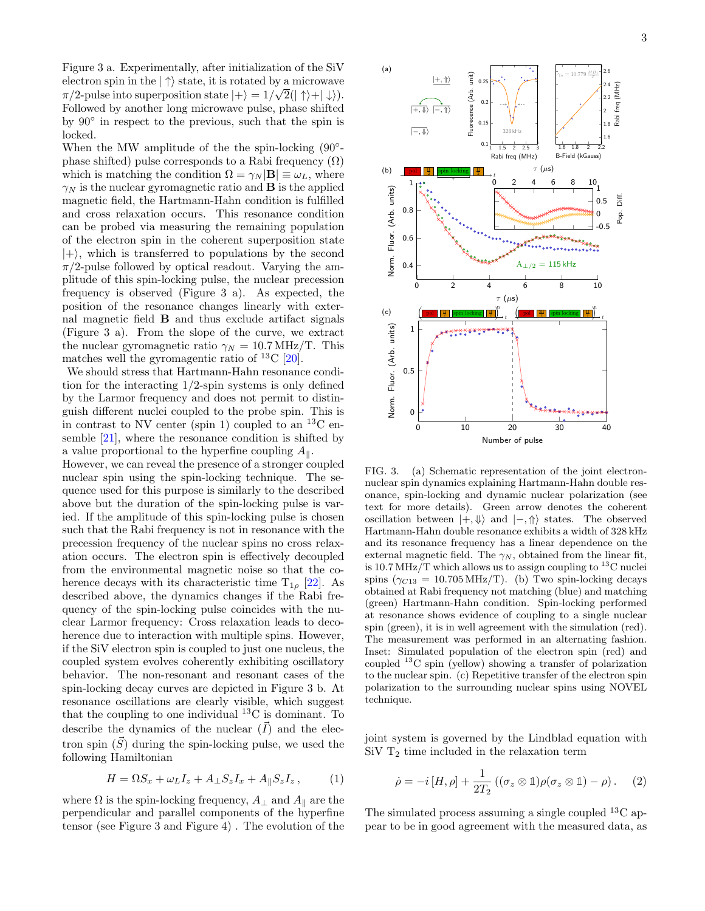[Figure 3](#page-2-0) a. Experimentally, after initialization of the SiV electron spin in the  $|\uparrow\rangle$  state, it is rotated by a microwave  $\pi/2$ -pulse into superposition state  $|+\rangle = 1/\sqrt{2(|\uparrow\rangle + |\downarrow\rangle)}$ . Followed by another long microwave pulse, phase shifted by 90◦ in respect to the previous, such that the spin is locked.

When the MW amplitude of the the spin-locking  $(90°$ phase shifted) pulse corresponds to a Rabi frequency  $(\Omega)$ which is matching the condition  $\Omega = \gamma_N |\mathbf{B}| \equiv \omega_L$ , where  $\gamma_N$  is the nuclear gyromagnetic ratio and **B** is the applied magnetic field, the Hartmann-Hahn condition is fulfilled and cross relaxation occurs. This resonance condition can be probed via measuring the remaining population of the electron spin in the coherent superposition state  $|+\rangle$ , which is transferred to populations by the second  $\pi/2$ -pulse followed by optical readout. Varying the amplitude of this spin-locking pulse, the nuclear precession frequency is observed [\(Figure 3](#page-2-0) a). As expected, the position of the resonance changes linearly with external magnetic field B and thus exclude artifact signals [\(Figure 3](#page-2-0) a). From the slope of the curve, we extract the nuclear gyromagnetic ratio  $\gamma_N = 10.7 \text{ MHz/T}$ . This matches well the gyromagentic ratio of  $^{13}$ C [\[20\]](#page-4-16).

We should stress that Hartmann-Hahn resonance condition for the interacting 1/2-spin systems is only defined by the Larmor frequency and does not permit to distinguish different nuclei coupled to the probe spin. This is in contrast to NV center (spin 1) coupled to an  $^{13}$ C ensemble [\[21\]](#page-4-17), where the resonance condition is shifted by a value proportional to the hyperfine coupling  $A_{\parallel}$ .

However, we can reveal the presence of a stronger coupled nuclear spin using the spin-locking technique. The sequence used for this purpose is similarly to the described above but the duration of the spin-locking pulse is varied. If the amplitude of this spin-locking pulse is chosen such that the Rabi frequency is not in resonance with the precession frequency of the nuclear spins no cross relaxation occurs. The electron spin is effectively decoupled from the environmental magnetic noise so that the coherence decays with its characteristic time  $T_{1\rho}$  [\[22\]](#page-4-18). As described above, the dynamics changes if the Rabi frequency of the spin-locking pulse coincides with the nuclear Larmor frequency: Cross relaxation leads to decoherence due to interaction with multiple spins. However, if the SiV electron spin is coupled to just one nucleus, the coupled system evolves coherently exhibiting oscillatory behavior. The non-resonant and resonant cases of the spin-locking decay curves are depicted in [Figure 3](#page-2-0) b. At resonance oscillations are clearly visible, which suggest that the coupling to one individual  ${}^{13}$ C is dominant. To describe the dynamics of the nuclear  $(\overline{I})$  and the electron spin  $(S)$  during the spin-locking pulse, we used the following Hamiltonian

<span id="page-2-1"></span>
$$
H = \Omega S_x + \omega_L I_z + A_\perp S_z I_x + A_\parallel S_z I_z, \qquad (1)
$$

where  $\Omega$  is the spin-locking frequency,  $A_{\perp}$  and  $A_{\parallel}$  are the perpendicular and parallel components of the hyperfine tensor (see [Figure 3](#page-2-0) and [Figure 4\)](#page-3-0) . The evolution of the



<span id="page-2-0"></span>FIG. 3. (a) Schematic representation of the joint electronnuclear spin dynamics explaining Hartmann-Hahn double resonance, spin-locking and dynamic nuclear polarization (see text for more details). Green arrow denotes the coherent oscillation between  $|+, \Downarrow \rangle$  and  $|-, \Uparrow \rangle$  states. The observed Hartmann-Hahn double resonance exhibits a width of 328 kHz and its resonance frequency has a linear dependence on the external magnetic field. The  $\gamma_N$ , obtained from the linear fit, is 10.7 MHz/T which allows us to assign coupling to  $^{13}$ C nuclei spins ( $\gamma_{C13} = 10.705 \,\text{MHz/T}$ ). (b) Two spin-locking decays obtained at Rabi frequency not matching (blue) and matching (green) Hartmann-Hahn condition. Spin-locking performed at resonance shows evidence of coupling to a single nuclear spin (green), it is in well agreement with the simulation (red). The measurement was performed in an alternating fashion. Inset: Simulated population of the electron spin (red) and coupled <sup>13</sup>C spin (yellow) showing a transfer of polarization to the nuclear spin. (c) Repetitive transfer of the electron spin polarization to the surrounding nuclear spins using NOVEL technique.

joint system is governed by the Lindblad equation with SiV  $T_2$  time included in the relaxation term

$$
\dot{\rho} = -i[H, \rho] + \frac{1}{2T_2} ((\sigma_z \otimes \mathbb{1})\rho(\sigma_z \otimes \mathbb{1}) - \rho).
$$
 (2)

The simulated process assuming a single coupled  $^{13}$ C appear to be in good agreement with the measured data, as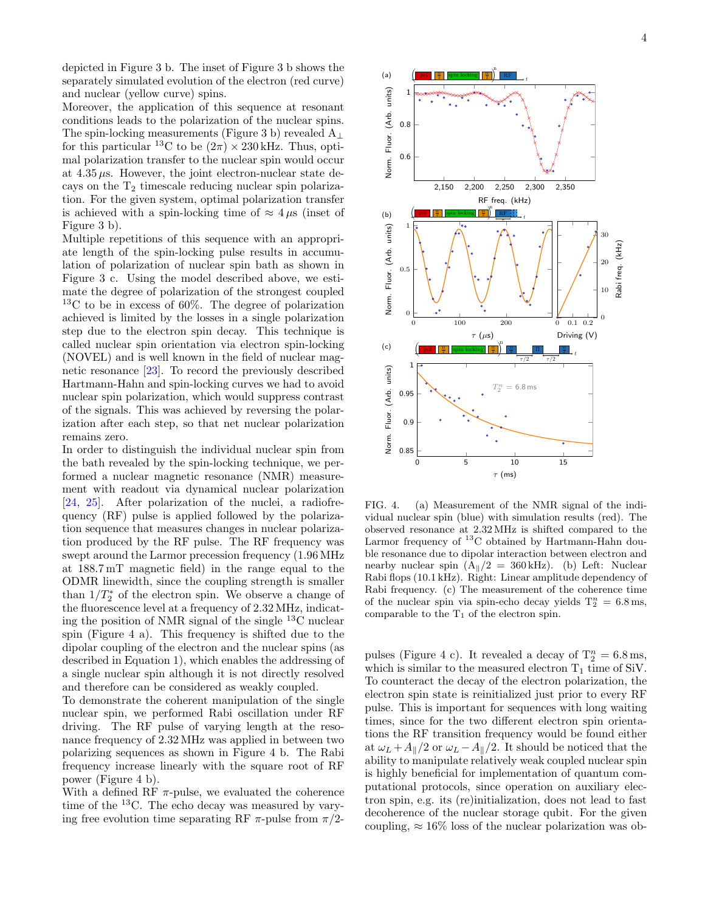depicted in [Figure 3](#page-2-0) b. The inset of [Figure 3](#page-2-0) b shows the separately simulated evolution of the electron (red curve) and nuclear (yellow curve) spins.

Moreover, the application of this sequence at resonant conditions leads to the polarization of the nuclear spins. The spin-locking measurements [\(Figure 3](#page-2-0) b) revealed  $A_{\perp}$ for this particular <sup>13</sup>C to be  $(2\pi) \times 230$  kHz. Thus, optimal polarization transfer to the nuclear spin would occur at  $4.35 \mu s$ . However, the joint electron-nuclear state decays on the  $T_2$  timescale reducing nuclear spin polarization. For the given system, optimal polarization transfer is achieved with a spin-locking time of  $\approx 4 \mu s$  (inset of [Figure 3](#page-2-0) b).

Multiple repetitions of this sequence with an appropriate length of the spin-locking pulse results in accumulation of polarization of nuclear spin bath as shown in [Figure 3](#page-2-0) c. Using the model described above, we estimate the degree of polarization of the strongest coupled <sup>13</sup>C to be in excess of 60%. The degree of polarization achieved is limited by the losses in a single polarization step due to the electron spin decay. This technique is called nuclear spin orientation via electron spin-locking (NOVEL) and is well known in the field of nuclear magnetic resonance [\[23\]](#page-4-19). To record the previously described Hartmann-Hahn and spin-locking curves we had to avoid nuclear spin polarization, which would suppress contrast of the signals. This was achieved by reversing the polarization after each step, so that net nuclear polarization remains zero.

In order to distinguish the individual nuclear spin from the bath revealed by the spin-locking technique, we performed a nuclear magnetic resonance (NMR) measurement with readout via dynamical nuclear polarization [\[24,](#page-4-20) [25\]](#page-5-0). After polarization of the nuclei, a radiofrequency (RF) pulse is applied followed by the polarization sequence that measures changes in nuclear polarization produced by the RF pulse. The RF frequency was swept around the Larmor precession frequency (1.96 MHz at 188.7 mT magnetic field) in the range equal to the ODMR linewidth, since the coupling strength is smaller than  $1/T_2^*$  of the electron spin. We observe a change of the fluorescence level at a frequency of 2.32 MHz, indicating the position of NMR signal of the single  $^{13}$ C nuclear spin [\(Figure 4](#page-3-0) a). This frequency is shifted due to the dipolar coupling of the electron and the nuclear spins (as described in [Equation 1\)](#page-2-1), which enables the addressing of a single nuclear spin although it is not directly resolved and therefore can be considered as weakly coupled.

To demonstrate the coherent manipulation of the single nuclear spin, we performed Rabi oscillation under RF driving. The RF pulse of varying length at the resonance frequency of 2.32 MHz was applied in between two polarizing sequences as shown in [Figure 4](#page-3-0) b. The Rabi frequency increase linearly with the square root of RF power [\(Figure 4](#page-3-0) b).

With a defined RF  $\pi$ -pulse, we evaluated the coherence time of the <sup>13</sup>C. The echo decay was measured by varying free evolution time separating RF  $\pi$ -pulse from  $\pi/2$ -



<span id="page-3-0"></span>FIG. 4. (a) Measurement of the NMR signal of the individual nuclear spin (blue) with simulation results (red). The observed resonance at 2.32 MHz is shifted compared to the Larmor frequency of  ${}^{13}$ C obtained by Hartmann-Hahn double resonance due to dipolar interaction between electron and nearby nuclear spin  $(A_{\parallel}/2 = 360 \text{ kHz})$ . (b) Left: Nuclear Rabi flops (10.1 kHz). Right: Linear amplitude dependency of Rabi frequency. (c) The measurement of the coherence time of the nuclear spin via spin-echo decay yields  $T_2^n = 6.8$  ms, comparable to the  $T_1$  of the electron spin.

pulses [\(Figure 4](#page-3-0) c). It revealed a decay of  $T_2^n = 6.8$  ms, which is similar to the measured electron  $T_1$  time of SiV. To counteract the decay of the electron polarization, the electron spin state is reinitialized just prior to every RF pulse. This is important for sequences with long waiting times, since for the two different electron spin orientations the RF transition frequency would be found either at  $\omega_L + A_{\parallel}/2$  or  $\omega_L - A_{\parallel}/2$ . It should be noticed that the ability to manipulate relatively weak coupled nuclear spin is highly beneficial for implementation of quantum computational protocols, since operation on auxiliary electron spin, e.g. its (re)initialization, does not lead to fast decoherence of the nuclear storage qubit. For the given coupling,  $\approx 16\%$  loss of the nuclear polarization was ob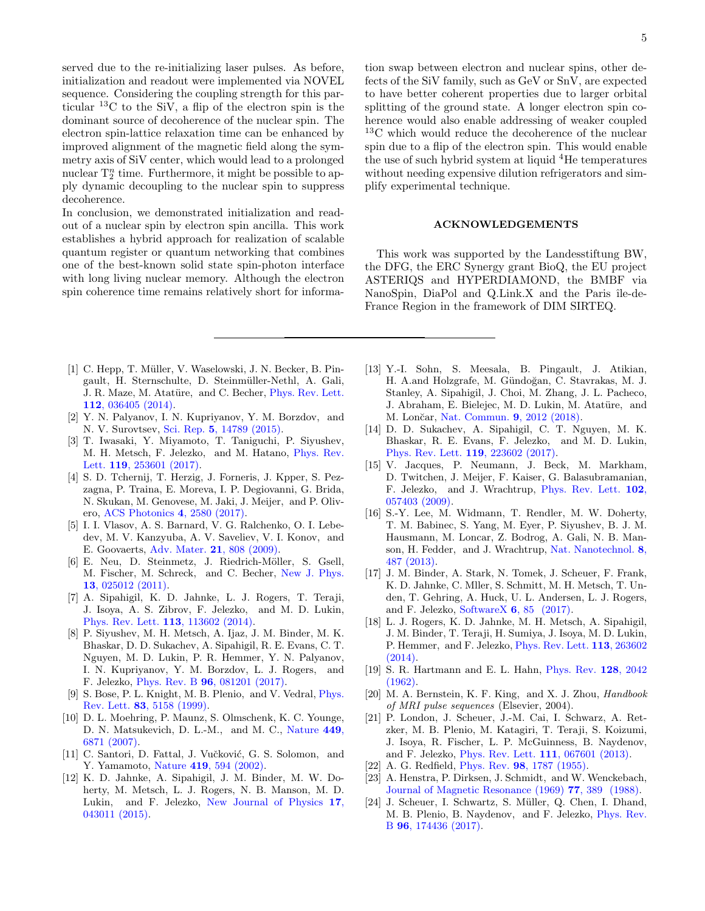served due to the re-initializing laser pulses. As before, initialization and readout were implemented via NOVEL sequence. Considering the coupling strength for this particular  $^{13}$ C to the SiV, a flip of the electron spin is the dominant source of decoherence of the nuclear spin. The electron spin-lattice relaxation time can be enhanced by improved alignment of the magnetic field along the symmetry axis of SiV center, which would lead to a prolonged nuclear  $T_2^n$  time. Furthermore, it might be possible to apply dynamic decoupling to the nuclear spin to suppress decoherence.

In conclusion, we demonstrated initialization and readout of a nuclear spin by electron spin ancilla. This work establishes a hybrid approach for realization of scalable quantum register or quantum networking that combines one of the best-known solid state spin-photon interface with long living nuclear memory. Although the electron spin coherence time remains relatively short for informa-

tion swap between electron and nuclear spins, other defects of the SiV family, such as GeV or SnV, are expected to have better coherent properties due to larger orbital splitting of the ground state. A longer electron spin coherence would also enable addressing of weaker coupled <sup>13</sup>C which would reduce the decoherence of the nuclear spin due to a flip of the electron spin. This would enable the use of such hybrid system at liquid  ${}^{4}$ He temperatures without needing expensive dilution refrigerators and simplify experimental technique.

## ACKNOWLEDGEMENTS

This work was supported by the Landesstiftung BW, the DFG, the ERC Synergy grant BioQ, the EU project ASTERIQS and HYPERDIAMOND, the BMBF via NanoSpin, DiaPol and Q.Link.X and the Paris île-de-France Region in the framework of DIM SIRTEQ.

- <span id="page-4-0"></span>[1] C. Hepp, T. Müller, V. Waselowski, J. N. Becker, B. Pingault, H. Sternschulte, D. Steinmüller-Nethl, A. Gali, J. R. Maze, M. Atatüre, and C. Becher, *[Phys. Rev. Lett.](http://dx.doi.org/ 10.1103/PhysRevLett.112.036405)* 112[, 036405 \(2014\).](http://dx.doi.org/ 10.1103/PhysRevLett.112.036405)
- [2] Y. N. Palyanov, I. N. Kupriyanov, Y. M. Borzdov, and N. V. Surovtsev, Sci. Rep. 5[, 14789 \(2015\).](http://dx.doi.org/10.1038/srep14789)
- [3] T. Iwasaki, Y. Miyamoto, T. Taniguchi, P. Siyushev, M. H. Metsch, F. Jelezko, and M. Hatano, [Phys. Rev.](http://dx.doi.org/ 10.1103/PhysRevLett.119.253601) Lett. 119[, 253601 \(2017\).](http://dx.doi.org/ 10.1103/PhysRevLett.119.253601)
- <span id="page-4-1"></span>[4] S. D. Tchernij, T. Herzig, J. Forneris, J. Kpper, S. Pezzagna, P. Traina, E. Moreva, I. P. Degiovanni, G. Brida, N. Skukan, M. Genovese, M. Jaki, J. Meijer, and P. Olivero, [ACS Photonics](http://dx.doi.org/10.1021/acsphotonics.7b00904) 4, 2580 (2017).
- <span id="page-4-2"></span>[5] I. I. Vlasov, A. S. Barnard, V. G. Ralchenko, O. I. Lebedev, M. V. Kanzyuba, A. V. Saveliev, V. I. Konov, and E. Goovaerts, [Adv. Mater.](http://dx.doi.org/ 10.1002/adma.200802160) 21, 808 (2009).
- <span id="page-4-3"></span>[6] E. Neu, D. Steinmetz, J. Riedrich-Möller, S. Gsell, M. Fischer, M. Schreck, and C. Becher, [New J. Phys.](http://dx.doi.org/ 10.1088/1367-2630/13/2/025012) 13[, 025012 \(2011\).](http://dx.doi.org/ 10.1088/1367-2630/13/2/025012)
- <span id="page-4-4"></span>[7] A. Sipahigil, K. D. Jahnke, L. J. Rogers, T. Teraji, J. Isoya, A. S. Zibrov, F. Jelezko, and M. D. Lukin, [Phys. Rev. Lett.](http://dx.doi.org/ 10.1103/PhysRevLett.113.113602) 113, 113602 (2014).
- <span id="page-4-5"></span>[8] P. Siyushev, M. H. Metsch, A. Ijaz, J. M. Binder, M. K. Bhaskar, D. D. Sukachev, A. Sipahigil, R. E. Evans, C. T. Nguyen, M. D. Lukin, P. R. Hemmer, Y. N. Palyanov, I. N. Kupriyanov, Y. M. Borzdov, L. J. Rogers, and F. Jelezko, Phys. Rev. B 96[, 081201 \(2017\).](http://dx.doi.org/ 10.1103/PhysRevB.96.081201)
- <span id="page-4-6"></span>[9] S. Bose, P. L. Knight, M. B. Plenio, and V. Vedral, [Phys.](http://dx.doi.org/10.1103/PhysRevLett.83.5158) Rev. Lett. 83[, 5158 \(1999\).](http://dx.doi.org/10.1103/PhysRevLett.83.5158)
- [10] D. L. Moehring, P. Maunz, S. Olmschenk, K. C. Younge, D. N. Matsukevich, D. L.-M., and M. C., [Nature](http://dx.doi.org/ 10.1038/nature06118) 449, [6871 \(2007\).](http://dx.doi.org/ 10.1038/nature06118)
- <span id="page-4-7"></span>[11] C. Santori, D. Fattal, J. Vučković, G. S. Solomon, and Y. Yamamoto, Nature 419[, 594 \(2002\).](http://dx.doi.org/10.1038/nature01086)
- <span id="page-4-8"></span>[12] K. D. Jahnke, A. Sipahigil, J. M. Binder, M. W. Doherty, M. Metsch, L. J. Rogers, N. B. Manson, M. D. Lukin, and F. Jelezko, [New Journal of Physics](http://dx.doi.org/ 10.1088/1367-2630/17/4/043011) 17, [043011 \(2015\).](http://dx.doi.org/ 10.1088/1367-2630/17/4/043011)
- <span id="page-4-9"></span>[13] Y.-I. Sohn, S. Meesala, B. Pingault, J. Atikian, H. A.and Holzgrafe, M. Gündoğan, C. Stavrakas, M. J. Stanley, A. Sipahigil, J. Choi, M. Zhang, J. L. Pacheco, J. Abraham, E. Bielejec, M. D. Lukin, M. Atatüre, and M. Lončar, [Nat. Commun.](http://dx.doi.org/10.1038/s41467-018-04340-3) 9, 2012 (2018).
- <span id="page-4-10"></span>[14] D. D. Sukachev, A. Sipahigil, C. T. Nguyen, M. K. Bhaskar, R. E. Evans, F. Jelezko, and M. D. Lukin, [Phys. Rev. Lett.](http://dx.doi.org/ 10.1103/PhysRevLett.119.223602) 119, 223602 (2017).
- <span id="page-4-11"></span>[15] V. Jacques, P. Neumann, J. Beck, M. Markham, D. Twitchen, J. Meijer, F. Kaiser, G. Balasubramanian, F. Jelezko, and J. Wrachtrup, [Phys. Rev. Lett.](http://dx.doi.org/ 10.1103/PhysRevLett.102.057403) 102, [057403 \(2009\).](http://dx.doi.org/ 10.1103/PhysRevLett.102.057403)
- <span id="page-4-12"></span>[16] S.-Y. Lee, M. Widmann, T. Rendler, M. W. Doherty, T. M. Babinec, S. Yang, M. Eyer, P. Siyushev, B. J. M. Hausmann, M. Loncar, Z. Bodrog, A. Gali, N. B. Manson, H. Fedder, and J. Wrachtrup, [Nat. Nanotechnol.](http://dx.doi.org/ 10.1038/nnano.2013.104) 8, [487 \(2013\).](http://dx.doi.org/ 10.1038/nnano.2013.104)
- <span id="page-4-13"></span>[17] J. M. Binder, A. Stark, N. Tomek, J. Scheuer, F. Frank, K. D. Jahnke, C. Mller, S. Schmitt, M. H. Metsch, T. Unden, T. Gehring, A. Huck, U. L. Andersen, L. J. Rogers, and F. Jelezko, SoftwareX 6[, 85 \(2017\).](http://dx.doi.org/ https://doi.org/10.1016/j.softx.2017.02.001)
- <span id="page-4-14"></span>[18] L. J. Rogers, K. D. Jahnke, M. H. Metsch, A. Sipahigil, J. M. Binder, T. Teraji, H. Sumiya, J. Isoya, M. D. Lukin, P. Hemmer, and F. Jelezko, [Phys. Rev. Lett.](http://dx.doi.org/10.1103/PhysRevLett.113.263602) 113, 263602 [\(2014\).](http://dx.doi.org/10.1103/PhysRevLett.113.263602)
- <span id="page-4-15"></span>[19] S. R. Hartmann and E. L. Hahn, [Phys. Rev.](http://dx.doi.org/10.1103/PhysRev.128.2042) 128, 2042 [\(1962\).](http://dx.doi.org/10.1103/PhysRev.128.2042)
- <span id="page-4-16"></span>[20] M. A. Bernstein, K. F. King, and X. J. Zhou, Handbook of MRI pulse sequences (Elsevier, 2004).
- <span id="page-4-17"></span>[21] P. London, J. Scheuer, J.-M. Cai, I. Schwarz, A. Retzker, M. B. Plenio, M. Katagiri, T. Teraji, S. Koizumi, J. Isoya, R. Fischer, L. P. McGuinness, B. Naydenov, and F. Jelezko, [Phys. Rev. Lett.](http://dx.doi.org/ 10.1103/PhysRevLett.111.067601) 111, 067601 (2013).
- <span id="page-4-18"></span>[22] A. G. Redfield, *Phys. Rev.* 98[, 1787 \(1955\).](http://dx.doi.org/10.1103/PhysRev.98.1787)
- <span id="page-4-19"></span>[23] A. Henstra, P. Dirksen, J. Schmidt, and W. Wenckebach, [Journal of Magnetic Resonance \(1969\)](http://dx.doi.org/https://doi.org/10.1016/0022-2364(88)90190-4) 77, 389 (1988).
- <span id="page-4-20"></span>[24] J. Scheuer, I. Schwartz, S. Müller, Q. Chen, I. Dhand, M. B. Plenio, B. Naydenov, and F. Jelezko, [Phys. Rev.](http://dx.doi.org/10.1103/PhysRevB.96.174436) B 96[, 174436 \(2017\).](http://dx.doi.org/10.1103/PhysRevB.96.174436)